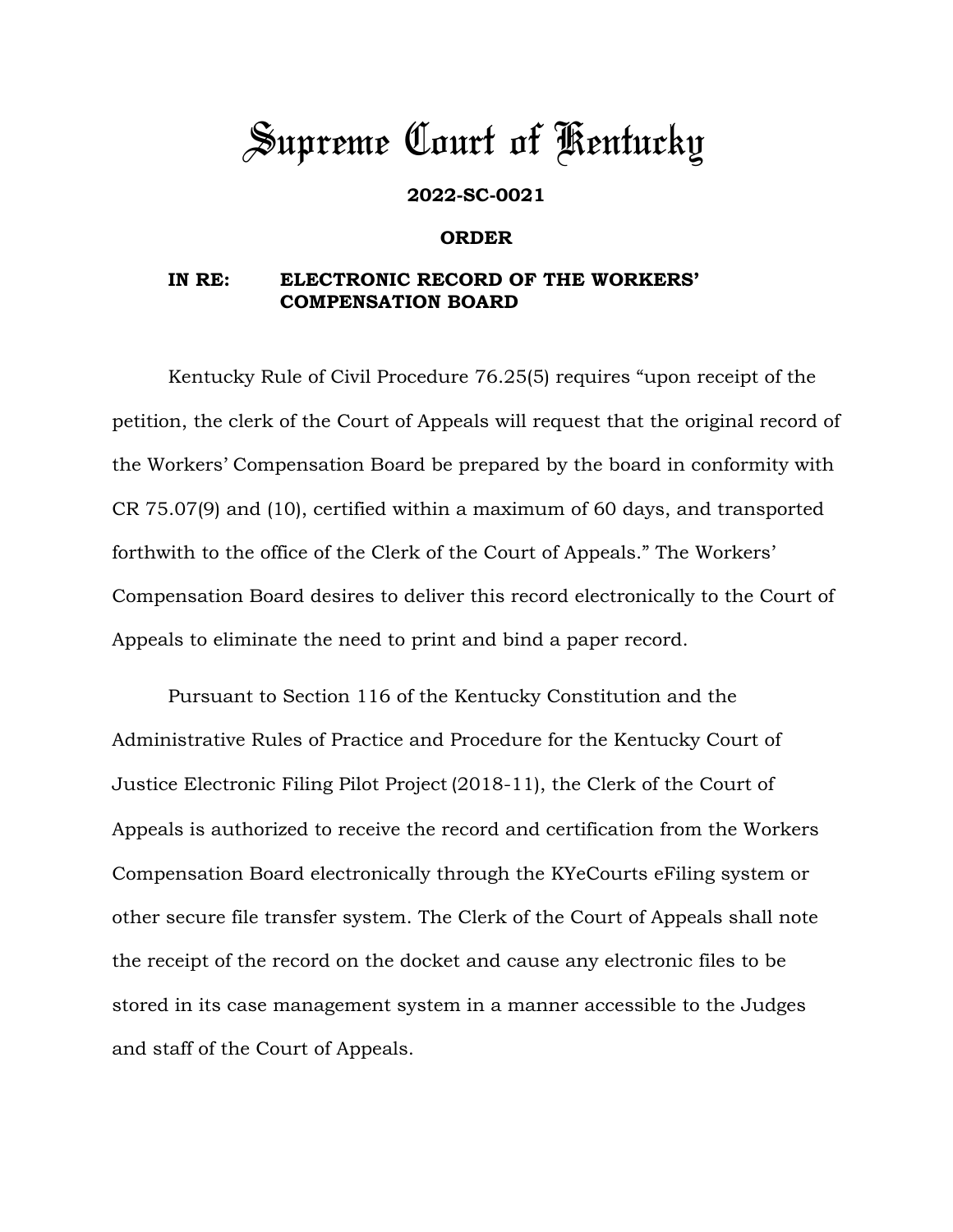## *Supreme Court of Kentucky*

## **2022-SC-0021**

## **ORDER**

## **IN RE: ELECTRONIC RECORD OF THE WORKERS' COMPENSATION BOARD**

Kentucky Rule of Civil Procedure 76.25(5) requires "upon receipt of the petition, the clerk of the Court of Appeals will request that the original record of the Workers' Compensation Board be prepared by the board in conformity with CR 75.07(9) and (10), certified within a maximum of 60 days, and transported forthwith to the office of the Clerk of the Court of Appeals." The Workers' Compensation Board desires to deliver this record electronically to the Court of Appeals to eliminate the need to print and bind a paper record.

Pursuant to Section 116 of the Kentucky Constitution and the Administrative Rules of Practice and Procedure for the Kentucky Court of Justice Electronic Filing Pilot Project (2018-11), the Clerk of the Court of Appeals is authorized to receive the record and certification from the Workers Compensation Board electronically through the KYeCourts eFiling system or other secure file transfer system. The Clerk of the Court of Appeals shall note the receipt of the record on the docket and cause any electronic files to be stored in its case management system in a manner accessible to the Judges and staff of the Court of Appeals.